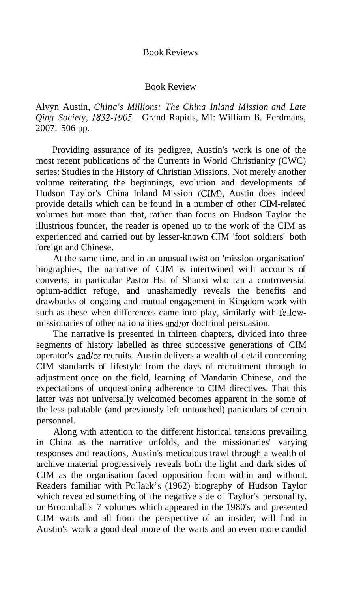## Book Review

Qing Society, 1832-1905. Grand Rapids, MI: William B. Eerdmans, Alvyn Austin, *China's Millions: The China Inland Mission and Late*  2007. 506 pp.

Hudson Taylor's China Inland Mission (CIM), Austin does indeed experienced and carried out by lesser-known CIM 'foot soldiers' both Providing assurance of its pedigree, Austin's work is one of the most recent publications of the Currents in World Christianity (CWC) series: Studies in the History of Christian Missions. Not merely another volume reiterating the beginnings, evolution and developments of provide details which can be found in a number of other CIM-related volumes but more than that, rather than focus on Hudson Taylor the illustrious founder, the reader is opened up to the work of the CIM as foreign and Chinese.

such as these when differences came into play, similarly with fellowmissionaries of other nationalities and/or doctrinal persuasion. At the same time, and in an unusual twist on 'mission organisation' biographies, the narrative of CIM is intertwined with accounts of converts, in particular Pastor Hsi of Shanxi who ran a controversial opium-addict refuge, and unashamedly reveals the benefits and drawbacks of ongoing and mutual engagement in Kingdom work with

operator's and/or recruits. Austin delivers a wealth of detail concerning The narrative is presented in thirteen chapters, divided into three segments of history labelled as three successive generations of CIM CIM standards of lifestyle from the days of recruitment through to adjustment once on the field, learning of Mandarin Chinese, and the expectations of unquestioning adherence to CIM directives. That this latter was not universally welcomed becomes apparent in the some of the less palatable (and previously left untouched) particulars of certain personnel.

Readers familiar with Pollack's (1962) biography of Hudson Taylor Along with attention to the different historical tensions prevailing in China as the narrative unfolds, and the missionaries' varying responses and reactions, Austin's meticulous trawl through a wealth of archive material progressively reveals both the light and dark sides of CIM as the organisation faced opposition from within and without. which revealed something of the negative side of Taylor's personality, or Broomhall's 7 volumes which appeared in the 1980's and presented CIM warts and all from the perspective of an insider, will find in Austin's work a good deal more of the warts and an even more candid